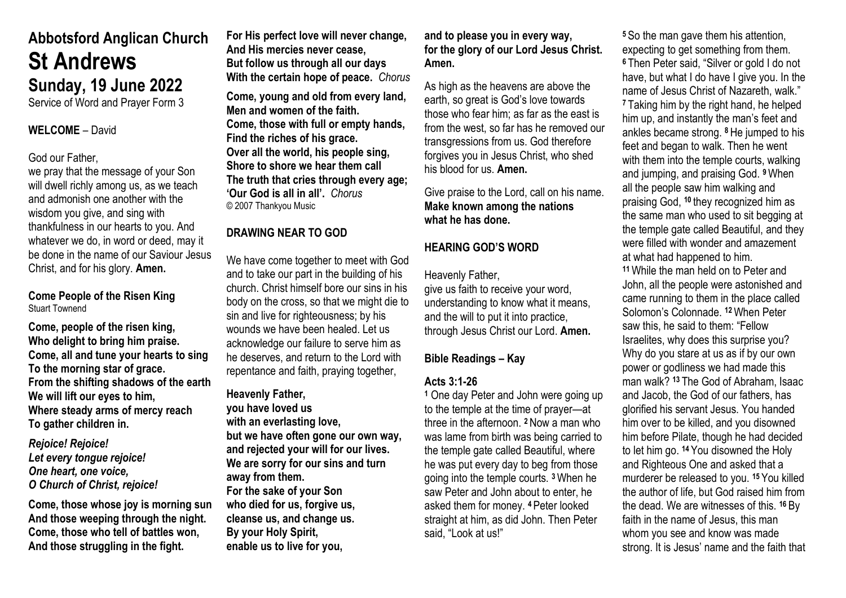# **Abbotsford Anglican Church St Andrews Sunday, 19 June 2022**

Service of Word and Prayer Form 3

## **WELCOME** – David

## God our Father,

we pray that the message of your Son will dwell richly among us, as we teach and admonish one another with the wisdom you give, and sing with thankfulness in our hearts to you. And whatever we do, in word or deed, may it be done in the name of our Saviour Jesus Christ, and for his glory. **Amen.**

#### **Come People of the Risen King** Stuart Townend

**Come, people of the risen king, Who delight to bring him praise. Come, all and tune your hearts to sing To the morning star of grace. From the shifting shadows of the earth We will lift our eyes to him, Where steady arms of mercy reach To gather children in.**

*Rejoice! Rejoice! Let every tongue rejoice! One heart, one voice, O Church of Christ, rejoice!*

**Come, those whose joy is morning sun And those weeping through the night. Come, those who tell of battles won, And those struggling in the fight.**

**For His perfect love will never change, And His mercies never cease, But follow us through all our days With the certain hope of peace.** *Chorus*

**Come, young and old from every land, Men and women of the faith. Come, those with full or empty hands, Find the riches of his grace. Over all the world, his people sing, Shore to shore we hear them call The truth that cries through every age; 'Our God is all in all'.** *Chorus*  © 2007 Thankyou Music

# **DRAWING NEAR TO GOD**

We have come together to meet with God and to take our part in the building of his church. Christ himself bore our sins in his body on the cross, so that we might die to sin and live for righteousness; by his wounds we have been healed. Let us acknowledge our failure to serve him as he deserves, and return to the Lord with repentance and faith, praying together,

## **Heavenly Father,**

**you have loved us with an everlasting love, but we have often gone our own way, and rejected your will for our lives. We are sorry for our sins and turn away from them. For the sake of your Son who died for us, forgive us, cleanse us, and change us. By your Holy Spirit, enable us to live for you,** 

#### **and to please you in every way, for the glory of our Lord Jesus Christ. Amen.**

As high as the heavens are above the earth, so great is God's love towards those who fear him; as far as the east is from the west, so far has he removed our transgressions from us. God therefore forgives you in Jesus Christ, who shed his blood for us. **Amen.**

Give praise to the Lord, call on his name. **Make known among the nations what he has done.**

# **HEARING GOD'S WORD**

## Heavenly Father,

give us faith to receive your word, understanding to know what it means, and the will to put it into practice, through Jesus Christ our Lord. **Amen.**

# **Bible Readings – Kay**

# **Acts 3:1-26**

**<sup>1</sup>** One day Peter and John were going up to the temple at the time of prayer—at three in the afternoon. **<sup>2</sup>** Now a man who was lame from birth was being carried to the temple gate called Beautiful, where he was put every day to beg from those going into the temple courts. **<sup>3</sup>** When he saw Peter and John about to enter, he asked them for money. **<sup>4</sup>** Peter looked straight at him, as did John. Then Peter said, "Look at us!"

**<sup>5</sup>** So the man gave them his attention, expecting to get something from them. **<sup>6</sup>** Then Peter said, "Silver or gold I do not have, but what I do have I give you. In the name of Jesus Christ of Nazareth, walk." **<sup>7</sup>** Taking him by the right hand, he helped him up, and instantly the man's feet and ankles became strong. **<sup>8</sup>** He jumped to his feet and began to walk. Then he went with them into the temple courts, walking and jumping, and praising God. **<sup>9</sup>**When all the people saw him walking and praising God, **<sup>10</sup>** they recognized him as the same man who used to sit begging at the temple gate called Beautiful, and they were filled with wonder and amazement at what had happened to him. **<sup>11</sup>**While the man held on to Peter and John, all the people were astonished and came running to them in the place called Solomon's Colonnade. **<sup>12</sup>**When Peter saw this, he said to them: "Fellow Israelites, why does this surprise you? Why do you stare at us as if by our own power or godliness we had made this man walk? **<sup>13</sup>** The God of Abraham, Isaac and Jacob, the God of our fathers, has glorified his servant Jesus. You handed him over to be killed, and you disowned him before Pilate, though he had decided to let him go. **<sup>14</sup>** You disowned the Holy and Righteous One and asked that a murderer be released to you. **<sup>15</sup>** You killed the author of life, but God raised him from the dead. We are witnesses of this. **<sup>16</sup>** By faith in the name of Jesus, this man whom you see and know was made strong. It is Jesus' name and the faith that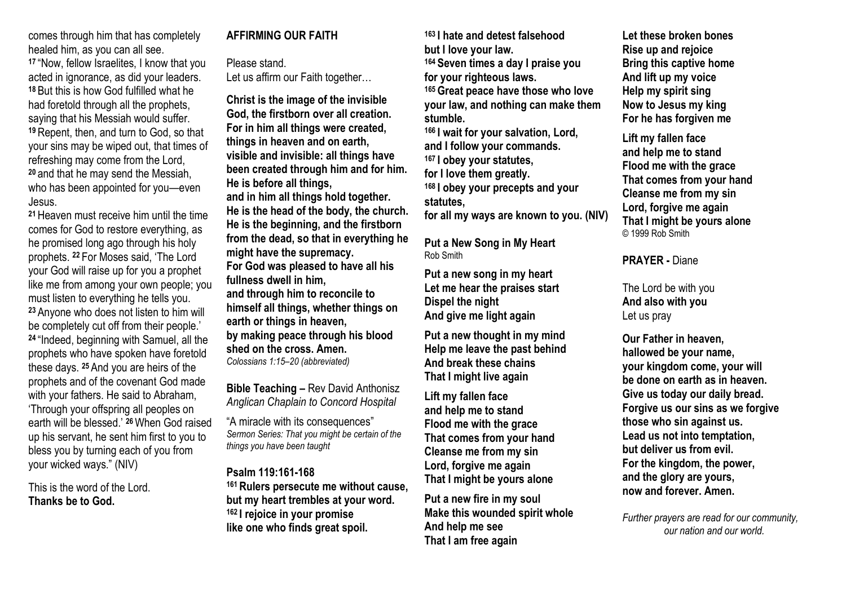comes through him that has completely healed him, as you can all see. **<sup>17</sup>** "Now, fellow Israelites, I know that you acted in ignorance, as did your leaders. **<sup>18</sup>** But this is how God fulfilled what he had foretold through all the prophets, saying that his Messiah would suffer. **<sup>19</sup>** Repent, then, and turn to God, so that your sins may be wiped out, that times of refreshing may come from the Lord, **<sup>20</sup>** and that he may send the Messiah, who has been appointed for you—even Jesus.

**<sup>21</sup>** Heaven must receive him until the time comes for God to restore everything, as he promised long ago through his holy prophets. **<sup>22</sup>** For Moses said, 'The Lord your God will raise up for you a prophet like me from among your own people; you must listen to everything he tells you. **<sup>23</sup>** Anyone who does not listen to him will be completely cut off from their people.' **<sup>24</sup>** "Indeed, beginning with Samuel, all the prophets who have spoken have foretold these days. **<sup>25</sup>** And you are heirs of the prophets and of the covenant God made with your fathers. He said to Abraham, 'Through your offspring all peoples on earth will be blessed.' **<sup>26</sup>**When God raised up his servant, he sent him first to you to bless you by turning each of you from your wicked ways." (NIV)

This is the word of the Lord. **Thanks be to God.**

#### **AFFIRMING OUR FAITH**

Please stand. Let us affirm our Faith together…

**Christ is the image of the invisible God, the firstborn over all creation. For in him all things were created, things in heaven and on earth, visible and invisible: all things have been created through him and for him. He is before all things, and in him all things hold together. He is the head of the body, the church. He is the beginning, and the firstborn** 

**from the dead, so that in everything he might have the supremacy. For God was pleased to have all his fullness dwell in him,** 

**and through him to reconcile to himself all things, whether things on earth or things in heaven, by making peace through his blood shed on the cross. Amen.**  *Colossians 1:15–20 (abbreviated)*

**Bible Teaching –** Rev David Anthonisz *Anglican Chaplain to Concord Hospital*

"A miracle with its consequences" *Sermon Series: That you might be certain of the things you have been taught* 

#### **Psalm 119:161-168**

**<sup>161</sup> Rulers persecute me without cause, but my heart trembles at your word. <sup>162</sup> I rejoice in your promise like one who finds great spoil.**

**<sup>163</sup> I hate and detest falsehood but I love your law.**

**<sup>164</sup> Seven times a day I praise you for your righteous laws.**

**<sup>165</sup>Great peace have those who love your law, and nothing can make them stumble.**

**<sup>166</sup> I wait for your salvation, Lord, and I follow your commands.**

**<sup>167</sup> I obey your statutes,**

**for I love them greatly.**

**<sup>168</sup> I obey your precepts and your statutes,**

**for all my ways are known to you. (NIV)**

**Put a New Song in My Heart** Rob Smith

**Put a new song in my heart Let me hear the praises start Dispel the night And give me light again**

**Put a new thought in my mind Help me leave the past behind And break these chains That I might live again**

**Lift my fallen face and help me to stand Flood me with the grace That comes from your hand Cleanse me from my sin Lord, forgive me again That I might be yours alone**

**Put a new fire in my soul Make this wounded spirit whole And help me see That I am free again**

**Let these broken bones Rise up and rejoice Bring this captive home And lift up my voice Help my spirit sing Now to Jesus my king For he has forgiven me** 

**Lift my fallen face and help me to stand Flood me with the grace That comes from your hand Cleanse me from my sin Lord, forgive me again That I might be yours alone** © 1999 Rob Smith

**PRAYER -** Diane

The Lord be with you **And also with you** Let us pray

**Our Father in heaven, hallowed be your name, your kingdom come, your will be done on earth as in heaven. Give us today our daily bread. Forgive us our sins as we forgive those who sin against us. Lead us not into temptation, but deliver us from evil. For the kingdom, the power, and the glory are yours, now and forever. Amen.**

*Further prayers are read for our community, our nation and our world.*